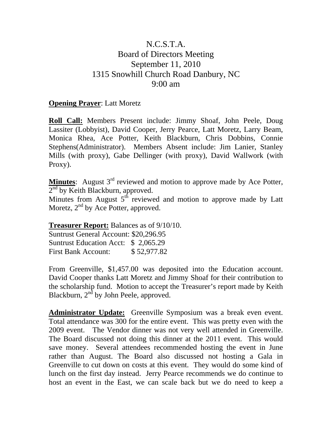## N.C.S.T.A. Board of Directors Meeting September 11, 2010 1315 Snowhill Church Road Danbury, NC 9:00 am

## **Opening Prayer**: Latt Moretz

**Roll Call:** Members Present include: Jimmy Shoaf, John Peele, Doug Lassiter (Lobbyist), David Cooper, Jerry Pearce, Latt Moretz, Larry Beam, Monica Rhea, Ace Potter, Keith Blackburn, Chris Dobbins, Connie Stephens(Administrator). Members Absent include: Jim Lanier, Stanley Mills (with proxy), Gabe Dellinger (with proxy), David Wallwork (with Proxy).

**Minutes**: August 3<sup>rd</sup> reviewed and motion to approve made by Ace Potter,  $2<sup>nd</sup>$  by Keith Blackburn, approved.

Minutes from August  $5<sup>th</sup>$  reviewed and motion to approve made by Latt Moretz,  $2<sup>nd</sup>$  by Ace Potter, approved.

## **Treasurer Report:** Balances as of 9/10/10.

Suntrust General Account: \$20,296.95 Suntrust Education Acct: \$ 2,065.29 First Bank Account: \$ 52,977.82

From Greenville, \$1,457.00 was deposited into the Education account. David Cooper thanks Latt Moretz and Jimmy Shoaf for their contribution to the scholarship fund. Motion to accept the Treasurer's report made by Keith Blackburn, 2<sup>nd</sup> by John Peele, approved.

**Administrator Update:** Greenville Symposium was a break even event. Total attendance was 300 for the entire event. This was pretty even with the 2009 event. The Vendor dinner was not very well attended in Greenville. The Board discussed not doing this dinner at the 2011 event. This would save money. Several attendees recommended hosting the event in June rather than August. The Board also discussed not hosting a Gala in Greenville to cut down on costs at this event. They would do some kind of lunch on the first day instead. Jerry Pearce recommends we do continue to host an event in the East, we can scale back but we do need to keep a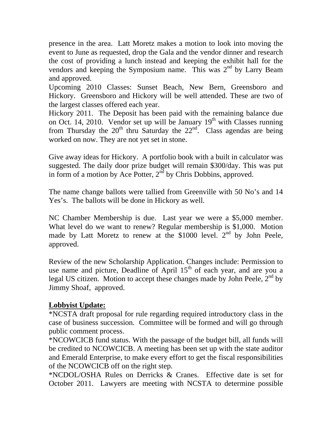presence in the area. Latt Moretz makes a motion to look into moving the event to June as requested, drop the Gala and the vendor dinner and research the cost of providing a lunch instead and keeping the exhibit hall for the vendors and keeping the Symposium name. This was  $2<sup>nd</sup>$  by Larry Beam and approved.

Upcoming 2010 Classes: Sunset Beach, New Bern, Greensboro and Hickory. Greensboro and Hickory will be well attended. These are two of the largest classes offered each year.

Hickory 2011. The Deposit has been paid with the remaining balance due on Oct. 14, 2010. Vendor set up will be January  $19<sup>th</sup>$  with Classes running from Thursday the  $20^{th}$  thru Saturday the  $22^{nd}$ . Class agendas are being worked on now. They are not yet set in stone.

Give away ideas for Hickory. A portfolio book with a built in calculator was suggested. The daily door prize budget will remain \$300/day. This was put in form of a motion by Ace Potter,  $2<sup>nd</sup>$  by Chris Dobbins, approved.

The name change ballots were tallied from Greenville with 50 No's and 14 Yes's. The ballots will be done in Hickory as well.

NC Chamber Membership is due. Last year we were a \$5,000 member. What level do we want to renew? Regular membership is \$1,000. Motion made by Latt Moretz to renew at the  $$1000$  level.  $2<sup>nd</sup>$  by John Peele, approved.

Review of the new Scholarship Application. Changes include: Permission to use name and picture, Deadline of April  $15<sup>th</sup>$  of each year, and are you a legal US citizen. Motion to accept these changes made by John Peele,  $2<sup>nd</sup>$  by Jimmy Shoaf, approved.

## **Lobbyist Update:**

\*NCSTA draft proposal for rule regarding required introductory class in the case of business succession. Committee will be formed and will go through public comment process.

\*NCOWCICB fund status. With the passage of the budget bill, all funds will be credited to NCOWCICB. A meeting has been set up with the state auditor and Emerald Enterprise, to make every effort to get the fiscal responsibilities of the NCOWCICB off on the right step.

\*NCDOL/OSHA Rules on Derricks & Cranes. Effective date is set for October 2011. Lawyers are meeting with NCSTA to determine possible